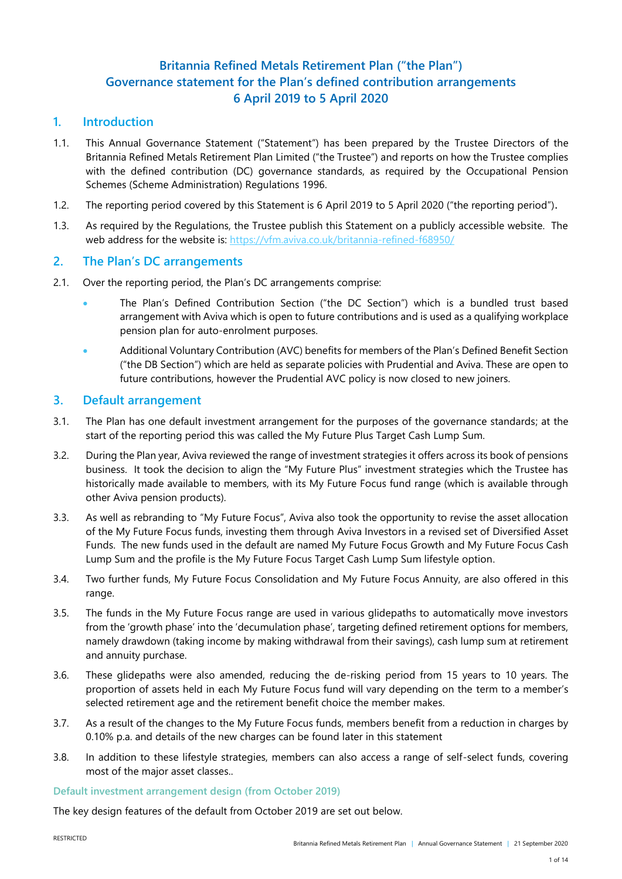# **Britannia Refined Metals Retirement Plan ("the Plan") Governance statement for the Plan's defined contribution arrangements 6 April 2019 to 5 April 2020**

# **1. Introduction**

- 1.1. This Annual Governance Statement ("Statement") has been prepared by the Trustee Directors of the Britannia Refined Metals Retirement Plan Limited ("the Trustee") and reports on how the Trustee complies with the defined contribution (DC) governance standards, as required by the Occupational Pension Schemes (Scheme Administration) Regulations 1996.
- 1.2. The reporting period covered by this Statement is 6 April 2019 to 5 April 2020 ("the reporting period").
- 1.3. As required by the Regulations, the Trustee publish this Statement on a publicly accessible website. The web address for the website is: <https://vfm.aviva.co.uk/britannia-refined-f68950/>

## **2. The Plan's DC arrangements**

- 2.1. Over the reporting period, the Plan's DC arrangements comprise:
	- The Plan's Defined Contribution Section ("the DC Section") which is a bundled trust based arrangement with Aviva which is open to future contributions and is used as a qualifying workplace pension plan for auto-enrolment purposes.
	- Additional Voluntary Contribution (AVC) benefits for members of the Plan's Defined Benefit Section ("the DB Section") which are held as separate policies with Prudential and Aviva. These are open to future contributions, however the Prudential AVC policy is now closed to new joiners.

## **3. Default arrangement**

- 3.1. The Plan has one default investment arrangement for the purposes of the governance standards; at the start of the reporting period this was called the My Future Plus Target Cash Lump Sum.
- 3.2. During the Plan year, Aviva reviewed the range of investment strategies it offers across its book of pensions business. It took the decision to align the "My Future Plus" investment strategies which the Trustee has historically made available to members, with its My Future Focus fund range (which is available through other Aviva pension products).
- 3.3. As well as rebranding to "My Future Focus", Aviva also took the opportunity to revise the asset allocation of the My Future Focus funds, investing them through Aviva Investors in a revised set of Diversified Asset Funds. The new funds used in the default are named My Future Focus Growth and My Future Focus Cash Lump Sum and the profile is the My Future Focus Target Cash Lump Sum lifestyle option.
- 3.4. Two further funds, My Future Focus Consolidation and My Future Focus Annuity, are also offered in this range.
- 3.5. The funds in the My Future Focus range are used in various glidepaths to automatically move investors from the 'growth phase' into the 'decumulation phase', targeting defined retirement options for members, namely drawdown (taking income by making withdrawal from their savings), cash lump sum at retirement and annuity purchase.
- 3.6. These glidepaths were also amended, reducing the de-risking period from 15 years to 10 years. The proportion of assets held in each My Future Focus fund will vary depending on the term to a member's selected retirement age and the retirement benefit choice the member makes.
- 3.7. As a result of the changes to the My Future Focus funds, members benefit from a reduction in charges by 0.10% p.a. and details of the new charges can be found later in this statement
- 3.8. In addition to these lifestyle strategies, members can also access a range of self-select funds, covering most of the major asset classes..

## **Default investment arrangement design (from October 2019)**

The key design features of the default from October 2019 are set out below.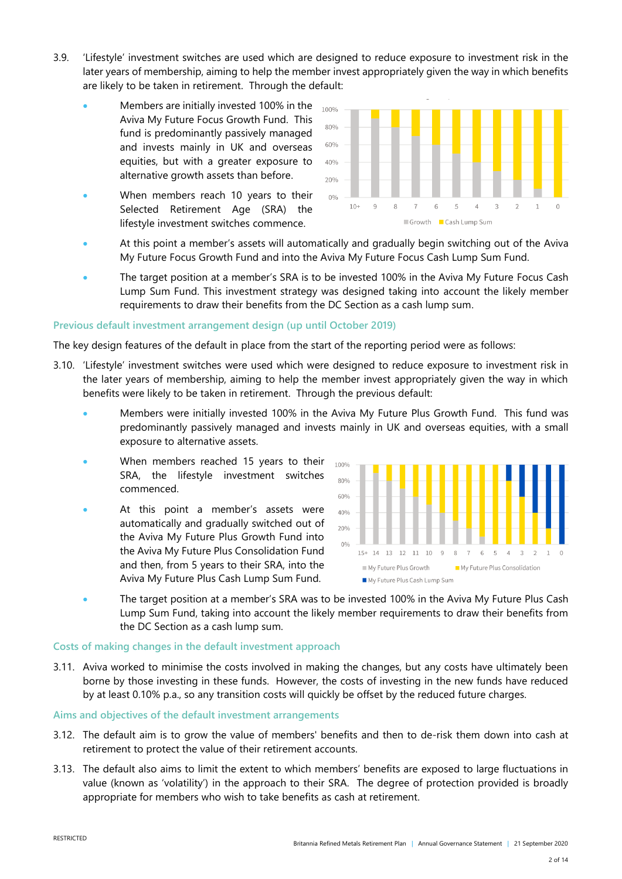- 3.9. 'Lifestyle' investment switches are used which are designed to reduce exposure to investment risk in the later years of membership, aiming to help the member invest appropriately given the way in which benefits are likely to be taken in retirement. Through the default:
	- Members are initially invested 100% in the Aviva My Future Focus Growth Fund. This fund is predominantly passively managed and invests mainly in UK and overseas equities, but with a greater exposure to alternative growth assets than before.
	- When members reach 10 years to their Selected Retirement Age (SRA) the lifestyle investment switches commence.



- At this point a member's assets will automatically and gradually begin switching out of the Aviva My Future Focus Growth Fund and into the Aviva My Future Focus Cash Lump Sum Fund.
- The target position at a member's SRA is to be invested 100% in the Aviva My Future Focus Cash Lump Sum Fund. This investment strategy was designed taking into account the likely member requirements to draw their benefits from the DC Section as a cash lump sum.

## **Previous default investment arrangement design (up until October 2019)**

The key design features of the default in place from the start of the reporting period were as follows:

- 3.10. 'Lifestyle' investment switches were used which were designed to reduce exposure to investment risk in the later years of membership, aiming to help the member invest appropriately given the way in which benefits were likely to be taken in retirement. Through the previous default:
	- Members were initially invested 100% in the Aviva My Future Plus Growth Fund. This fund was predominantly passively managed and invests mainly in UK and overseas equities, with a small exposure to alternative assets.
	- When members reached 15 years to their SRA, the lifestyle investment switches commenced.
	- At this point a member's assets were automatically and gradually switched out of the Aviva My Future Plus Growth Fund into the Aviva My Future Plus Consolidation Fund and then, from 5 years to their SRA, into the Aviva My Future Plus Cash Lump Sum Fund.



 The target position at a member's SRA was to be invested 100% in the Aviva My Future Plus Cash Lump Sum Fund, taking into account the likely member requirements to draw their benefits from the DC Section as a cash lump sum.

#### **Costs of making changes in the default investment approach**

3.11. Aviva worked to minimise the costs involved in making the changes, but any costs have ultimately been borne by those investing in these funds. However, the costs of investing in the new funds have reduced by at least 0.10% p.a., so any transition costs will quickly be offset by the reduced future charges.

#### **Aims and objectives of the default investment arrangements**

- 3.12. The default aim is to grow the value of members' benefits and then to de-risk them down into cash at retirement to protect the value of their retirement accounts.
- 3.13. The default also aims to limit the extent to which members' benefits are exposed to large fluctuations in value (known as 'volatility') in the approach to their SRA. The degree of protection provided is broadly appropriate for members who wish to take benefits as cash at retirement.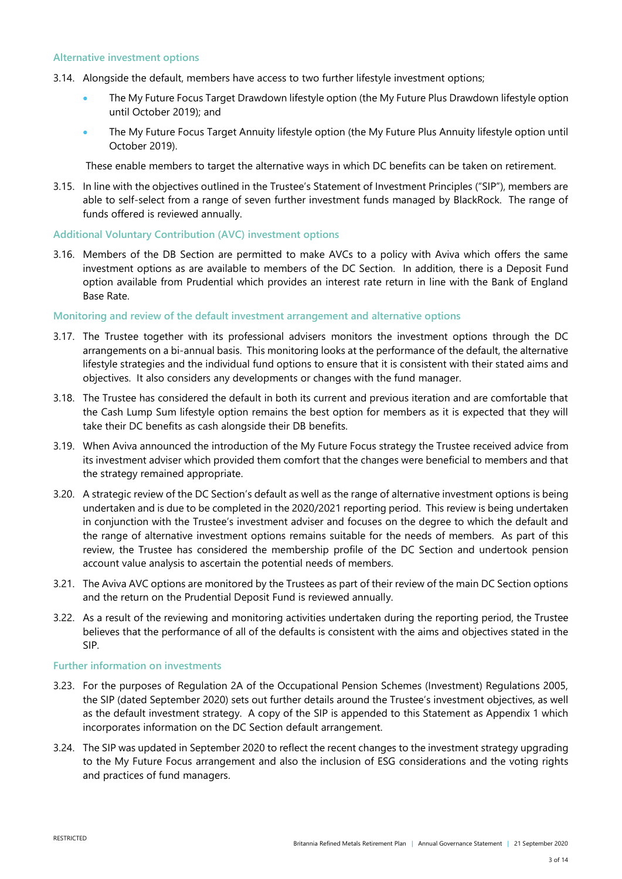#### **Alternative investment options**

- 3.14. Alongside the default, members have access to two further lifestyle investment options;
	- The My Future Focus Target Drawdown lifestyle option (the My Future Plus Drawdown lifestyle option until October 2019); and
	- The My Future Focus Target Annuity lifestyle option (the My Future Plus Annuity lifestyle option until October 2019).

These enable members to target the alternative ways in which DC benefits can be taken on retirement.

3.15. In line with the objectives outlined in the Trustee's Statement of Investment Principles ("SIP"), members are able to self-select from a range of seven further investment funds managed by BlackRock. The range of funds offered is reviewed annually.

## **Additional Voluntary Contribution (AVC) investment options**

3.16. Members of the DB Section are permitted to make AVCs to a policy with Aviva which offers the same investment options as are available to members of the DC Section. In addition, there is a Deposit Fund option available from Prudential which provides an interest rate return in line with the Bank of England Base Rate.

## **Monitoring and review of the default investment arrangement and alternative options**

- 3.17. The Trustee together with its professional advisers monitors the investment options through the DC arrangements on a bi-annual basis. This monitoring looks at the performance of the default, the alternative lifestyle strategies and the individual fund options to ensure that it is consistent with their stated aims and objectives. It also considers any developments or changes with the fund manager.
- 3.18. The Trustee has considered the default in both its current and previous iteration and are comfortable that the Cash Lump Sum lifestyle option remains the best option for members as it is expected that they will take their DC benefits as cash alongside their DB benefits.
- 3.19. When Aviva announced the introduction of the My Future Focus strategy the Trustee received advice from its investment adviser which provided them comfort that the changes were beneficial to members and that the strategy remained appropriate.
- 3.20. A strategic review of the DC Section's default as well as the range of alternative investment options is being undertaken and is due to be completed in the 2020/2021 reporting period. This review is being undertaken in conjunction with the Trustee's investment adviser and focuses on the degree to which the default and the range of alternative investment options remains suitable for the needs of members. As part of this review, the Trustee has considered the membership profile of the DC Section and undertook pension account value analysis to ascertain the potential needs of members.
- 3.21. The Aviva AVC options are monitored by the Trustees as part of their review of the main DC Section options and the return on the Prudential Deposit Fund is reviewed annually.
- 3.22. As a result of the reviewing and monitoring activities undertaken during the reporting period, the Trustee believes that the performance of all of the defaults is consistent with the aims and objectives stated in the SIP.

## **Further information on investments**

- 3.23. For the purposes of Regulation 2A of the Occupational Pension Schemes (Investment) Regulations 2005, the SIP (dated September 2020) sets out further details around the Trustee's investment objectives, as well as the default investment strategy. A copy of the SIP is appended to this Statement as Appendix 1 which incorporates information on the DC Section default arrangement.
- 3.24. The SIP was updated in September 2020 to reflect the recent changes to the investment strategy upgrading to the My Future Focus arrangement and also the inclusion of ESG considerations and the voting rights and practices of fund managers.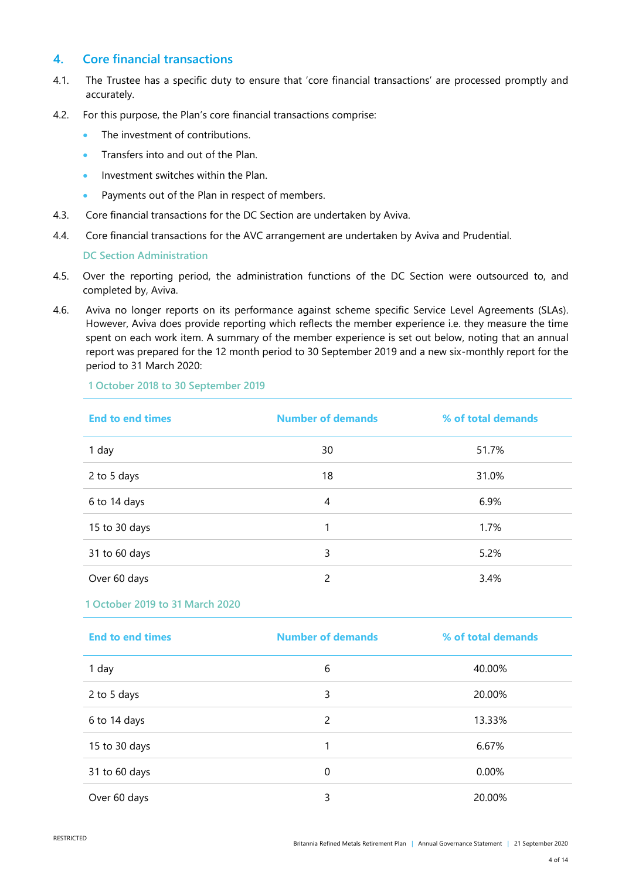# **4. Core financial transactions**

- 4.1. The Trustee has a specific duty to ensure that 'core financial transactions' are processed promptly and accurately.
- 4.2. For this purpose, the Plan's core financial transactions comprise:
	- The investment of contributions.
	- Transfers into and out of the Plan.
	- Investment switches within the Plan.
	- Payments out of the Plan in respect of members.
- 4.3. Core financial transactions for the DC Section are undertaken by Aviva.
- 4.4. Core financial transactions for the AVC arrangement are undertaken by Aviva and Prudential.

#### **DC Section Administration**

- 4.5. Over the reporting period, the administration functions of the DC Section were outsourced to, and completed by, Aviva.
- 4.6. Aviva no longer reports on its performance against scheme specific Service Level Agreements (SLAs). However, Aviva does provide reporting which reflects the member experience i.e. they measure the time spent on each work item. A summary of the member experience is set out below, noting that an annual report was prepared for the 12 month period to 30 September 2019 and a new six-monthly report for the period to 31 March 2020:

**1 October 2018 to 30 September 2019**

| <b>End to end times</b> | <b>Number of demands</b> | % of total demands |
|-------------------------|--------------------------|--------------------|
| 1 day                   | 30                       | 51.7%              |
| 2 to 5 days             | 18                       | 31.0%              |
| 6 to 14 days            | 4                        | 6.9%               |
| 15 to 30 days           | 1                        | 1.7%               |
| 31 to 60 days           | 3                        | 5.2%               |
| Over 60 days            | $\mathcal{P}$            | 3.4%               |

## **1 October 2019 to 31 March 2020**

| <b>End to end times</b> | <b>Number of demands</b> | % of total demands |
|-------------------------|--------------------------|--------------------|
| 1 day                   | 6                        | 40.00%             |
| 2 to 5 days             | 3                        | 20.00%             |
| 6 to 14 days            | 2                        | 13.33%             |
| 15 to 30 days           |                          | 6.67%              |
| 31 to 60 days           | 0                        | 0.00%              |
| Over 60 days            | 3                        | 20.00%             |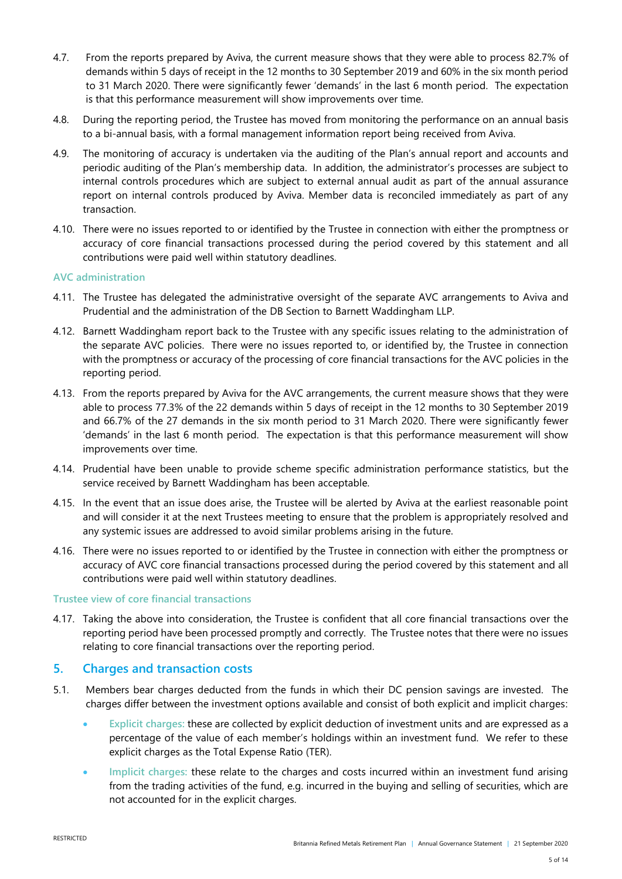- 4.7. From the reports prepared by Aviva, the current measure shows that they were able to process 82.7% of demands within 5 days of receipt in the 12 months to 30 September 2019 and 60% in the six month period to 31 March 2020. There were significantly fewer 'demands' in the last 6 month period. The expectation is that this performance measurement will show improvements over time.
- 4.8. During the reporting period, the Trustee has moved from monitoring the performance on an annual basis to a bi-annual basis, with a formal management information report being received from Aviva.
- 4.9. The monitoring of accuracy is undertaken via the auditing of the Plan's annual report and accounts and periodic auditing of the Plan's membership data. In addition, the administrator's processes are subject to internal controls procedures which are subject to external annual audit as part of the annual assurance report on internal controls produced by Aviva. Member data is reconciled immediately as part of any transaction.
- 4.10. There were no issues reported to or identified by the Trustee in connection with either the promptness or accuracy of core financial transactions processed during the period covered by this statement and all contributions were paid well within statutory deadlines.

## **AVC administration**

- 4.11. The Trustee has delegated the administrative oversight of the separate AVC arrangements to Aviva and Prudential and the administration of the DB Section to Barnett Waddingham LLP.
- 4.12. Barnett Waddingham report back to the Trustee with any specific issues relating to the administration of the separate AVC policies. There were no issues reported to, or identified by, the Trustee in connection with the promptness or accuracy of the processing of core financial transactions for the AVC policies in the reporting period.
- 4.13. From the reports prepared by Aviva for the AVC arrangements, the current measure shows that they were able to process 77.3% of the 22 demands within 5 days of receipt in the 12 months to 30 September 2019 and 66.7% of the 27 demands in the six month period to 31 March 2020. There were significantly fewer 'demands' in the last 6 month period. The expectation is that this performance measurement will show improvements over time.
- 4.14. Prudential have been unable to provide scheme specific administration performance statistics, but the service received by Barnett Waddingham has been acceptable.
- 4.15. In the event that an issue does arise, the Trustee will be alerted by Aviva at the earliest reasonable point and will consider it at the next Trustees meeting to ensure that the problem is appropriately resolved and any systemic issues are addressed to avoid similar problems arising in the future.
- 4.16. There were no issues reported to or identified by the Trustee in connection with either the promptness or accuracy of AVC core financial transactions processed during the period covered by this statement and all contributions were paid well within statutory deadlines.

## **Trustee view of core financial transactions**

4.17. Taking the above into consideration, the Trustee is confident that all core financial transactions over the reporting period have been processed promptly and correctly. The Trustee notes that there were no issues relating to core financial transactions over the reporting period.

## **5. Charges and transaction costs**

- 5.1. Members bear charges deducted from the funds in which their DC pension savings are invested. The charges differ between the investment options available and consist of both explicit and implicit charges:
	- **Explicit charges:** these are collected by explicit deduction of investment units and are expressed as a percentage of the value of each member's holdings within an investment fund. We refer to these explicit charges as the Total Expense Ratio (TER).
	- **Implicit charges:** these relate to the charges and costs incurred within an investment fund arising from the trading activities of the fund, e.g. incurred in the buying and selling of securities, which are not accounted for in the explicit charges.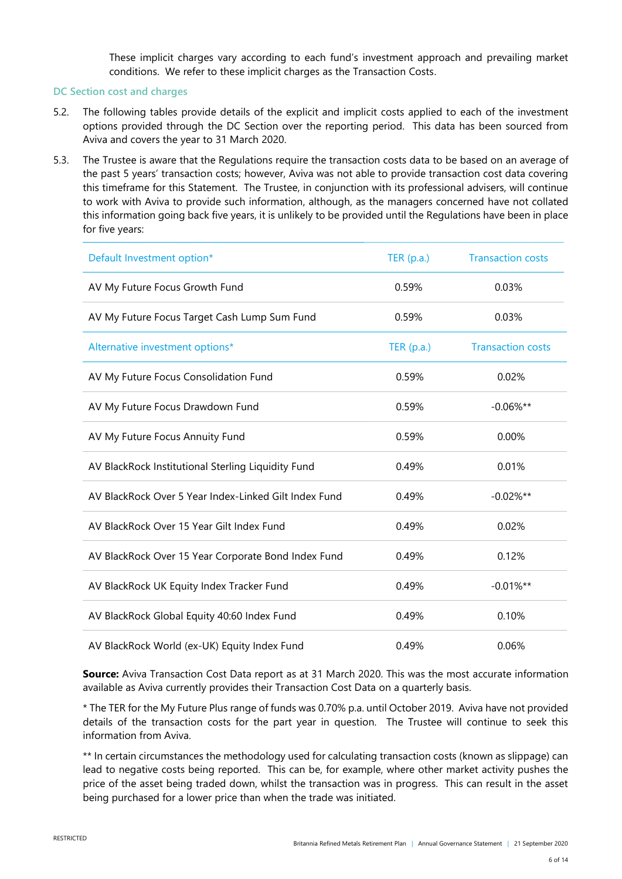These implicit charges vary according to each fund's investment approach and prevailing market conditions. We refer to these implicit charges as the Transaction Costs.

## **DC Section cost and charges**

- 5.2. The following tables provide details of the explicit and implicit costs applied to each of the investment options provided through the DC Section over the reporting period. This data has been sourced from Aviva and covers the year to 31 March 2020.
- 5.3. The Trustee is aware that the Regulations require the transaction costs data to be based on an average of the past 5 years' transaction costs; however, Aviva was not able to provide transaction cost data covering this timeframe for this Statement. The Trustee, in conjunction with its professional advisers, will continue to work with Aviva to provide such information, although, as the managers concerned have not collated this information going back five years, it is unlikely to be provided until the Regulations have been in place for five years:

| Default Investment option*                            | TER(p.a.)    | <b>Transaction costs</b> |
|-------------------------------------------------------|--------------|--------------------------|
| AV My Future Focus Growth Fund                        | 0.59%        | 0.03%                    |
| AV My Future Focus Target Cash Lump Sum Fund          | 0.59%        | 0.03%                    |
| Alternative investment options*                       | TER $(p.a.)$ | <b>Transaction costs</b> |
| AV My Future Focus Consolidation Fund                 | 0.59%        | 0.02%                    |
| AV My Future Focus Drawdown Fund                      | 0.59%        | $-0.06\%**$              |
| AV My Future Focus Annuity Fund                       | 0.59%        | 0.00%                    |
| AV BlackRock Institutional Sterling Liquidity Fund    | 0.49%        | 0.01%                    |
| AV BlackRock Over 5 Year Index-Linked Gilt Index Fund | 0.49%        | $-0.02\%**$              |
| AV BlackRock Over 15 Year Gilt Index Fund             | 0.49%        | 0.02%                    |
| AV BlackRock Over 15 Year Corporate Bond Index Fund   | 0.49%        | 0.12%                    |
| AV BlackRock UK Equity Index Tracker Fund             | 0.49%        | $-0.01\%**$              |
| AV BlackRock Global Equity 40:60 Index Fund           | 0.49%        | 0.10%                    |
| AV BlackRock World (ex-UK) Equity Index Fund          | 0.49%        | 0.06%                    |

**Source:** Aviva Transaction Cost Data report as at 31 March 2020. This was the most accurate information available as Aviva currently provides their Transaction Cost Data on a quarterly basis.

\* The TER for the My Future Plus range of funds was 0.70% p.a. until October 2019. Aviva have not provided details of the transaction costs for the part year in question. The Trustee will continue to seek this information from Aviva.

\*\* In certain circumstances the methodology used for calculating transaction costs (known as slippage) can lead to negative costs being reported. This can be, for example, where other market activity pushes the price of the asset being traded down, whilst the transaction was in progress. This can result in the asset being purchased for a lower price than when the trade was initiated.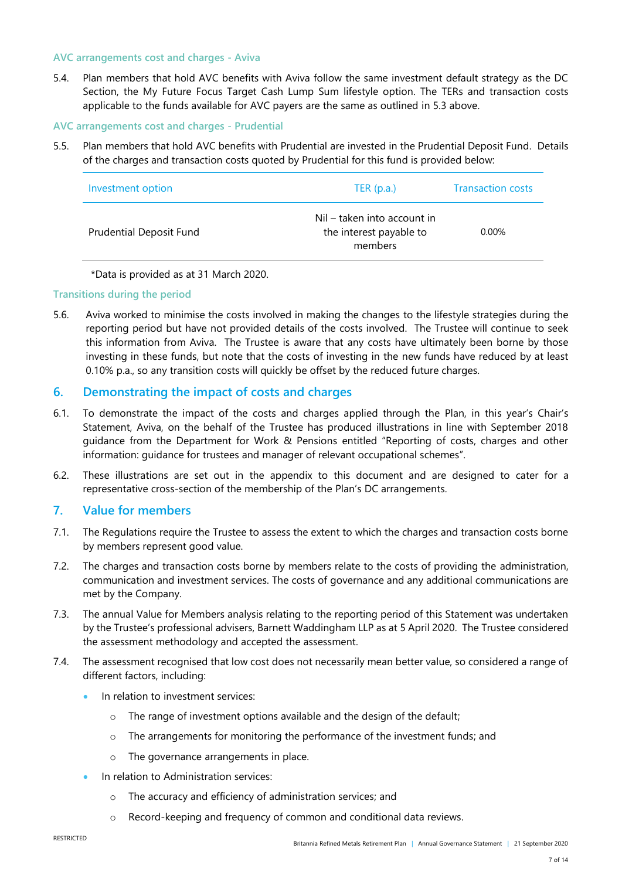#### **AVC arrangements cost and charges - Aviva**

5.4. Plan members that hold AVC benefits with Aviva follow the same investment default strategy as the DC Section, the My Future Focus Target Cash Lump Sum lifestyle option. The TERs and transaction costs applicable to the funds available for AVC payers are the same as outlined in 5.3 above.

## **AVC arrangements cost and charges - Prudential**

5.5. Plan members that hold AVC benefits with Prudential are invested in the Prudential Deposit Fund. Details of the charges and transaction costs quoted by Prudential for this fund is provided below:

| Investment option              | TER $(p.a.)$                                                      | <b>Transaction costs</b> |
|--------------------------------|-------------------------------------------------------------------|--------------------------|
| <b>Prudential Deposit Fund</b> | Nil – taken into account in<br>the interest payable to<br>members | $0.00\%$                 |

\*Data is provided as at 31 March 2020.

## **Transitions during the period**

5.6. Aviva worked to minimise the costs involved in making the changes to the lifestyle strategies during the reporting period but have not provided details of the costs involved. The Trustee will continue to seek this information from Aviva. The Trustee is aware that any costs have ultimately been borne by those investing in these funds, but note that the costs of investing in the new funds have reduced by at least 0.10% p.a., so any transition costs will quickly be offset by the reduced future charges.

# **6. Demonstrating the impact of costs and charges**

- 6.1. To demonstrate the impact of the costs and charges applied through the Plan, in this year's Chair's Statement, Aviva, on the behalf of the Trustee has produced illustrations in line with September 2018 guidance from the Department for Work & Pensions entitled "Reporting of costs, charges and other information: guidance for trustees and manager of relevant occupational schemes".
- 6.2. These illustrations are set out in the appendix to this document and are designed to cater for a representative cross-section of the membership of the Plan's DC arrangements.

## **7. Value for members**

- 7.1. The Regulations require the Trustee to assess the extent to which the charges and transaction costs borne by members represent good value.
- 7.2. The charges and transaction costs borne by members relate to the costs of providing the administration, communication and investment services. The costs of governance and any additional communications are met by the Company.
- 7.3. The annual Value for Members analysis relating to the reporting period of this Statement was undertaken by the Trustee's professional advisers, Barnett Waddingham LLP as at 5 April 2020. The Trustee considered the assessment methodology and accepted the assessment.
- 7.4. The assessment recognised that low cost does not necessarily mean better value, so considered a range of different factors, including:
	- In relation to investment services:
		- o The range of investment options available and the design of the default;
		- o The arrangements for monitoring the performance of the investment funds; and
		- o The governance arrangements in place.
	- In relation to Administration services:
		- o The accuracy and efficiency of administration services; and
		- o Record-keeping and frequency of common and conditional data reviews.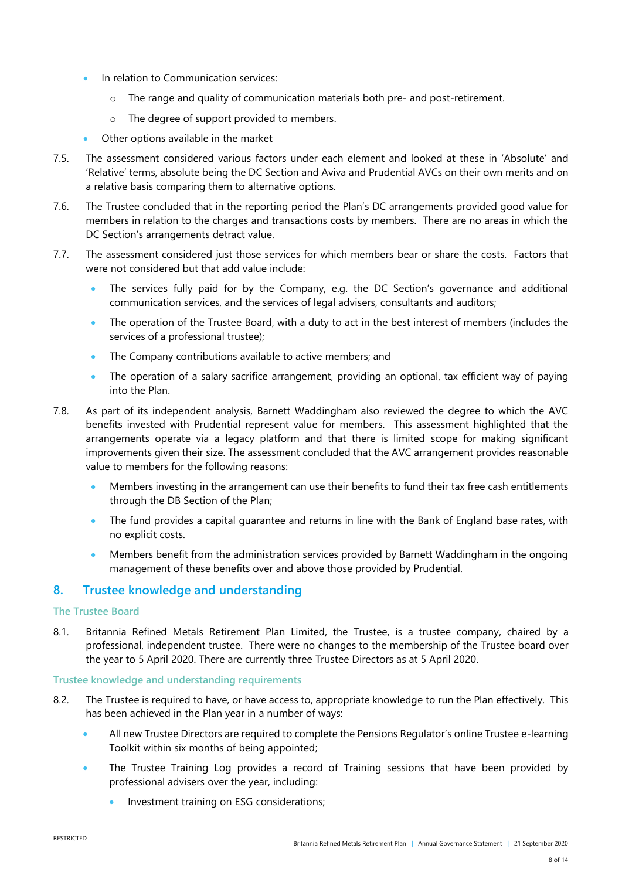- In relation to Communication services:
	- o The range and quality of communication materials both pre- and post-retirement.
	- o The degree of support provided to members.
- Other options available in the market
- 7.5. The assessment considered various factors under each element and looked at these in 'Absolute' and 'Relative' terms, absolute being the DC Section and Aviva and Prudential AVCs on their own merits and on a relative basis comparing them to alternative options.
- 7.6. The Trustee concluded that in the reporting period the Plan's DC arrangements provided good value for members in relation to the charges and transactions costs by members. There are no areas in which the DC Section's arrangements detract value.
- 7.7. The assessment considered just those services for which members bear or share the costs. Factors that were not considered but that add value include:
	- The services fully paid for by the Company, e.g. the DC Section's governance and additional communication services, and the services of legal advisers, consultants and auditors;
	- The operation of the Trustee Board, with a duty to act in the best interest of members (includes the services of a professional trustee);
	- The Company contributions available to active members; and
	- The operation of a salary sacrifice arrangement, providing an optional, tax efficient way of paying into the Plan.
- 7.8. As part of its independent analysis, Barnett Waddingham also reviewed the degree to which the AVC benefits invested with Prudential represent value for members. This assessment highlighted that the arrangements operate via a legacy platform and that there is limited scope for making significant improvements given their size. The assessment concluded that the AVC arrangement provides reasonable value to members for the following reasons:
	- Members investing in the arrangement can use their benefits to fund their tax free cash entitlements through the DB Section of the Plan;
	- The fund provides a capital guarantee and returns in line with the Bank of England base rates, with no explicit costs.
	- Members benefit from the administration services provided by Barnett Waddingham in the ongoing management of these benefits over and above those provided by Prudential.

# **8. Trustee knowledge and understanding**

## **The Trustee Board**

8.1. Britannia Refined Metals Retirement Plan Limited, the Trustee, is a trustee company, chaired by a professional, independent trustee. There were no changes to the membership of the Trustee board over the year to 5 April 2020. There are currently three Trustee Directors as at 5 April 2020.

## **Trustee knowledge and understanding requirements**

- 8.2. The Trustee is required to have, or have access to, appropriate knowledge to run the Plan effectively. This has been achieved in the Plan year in a number of ways:
	- All new Trustee Directors are required to complete the Pensions Regulator's online Trustee e-learning Toolkit within six months of being appointed;
	- The Trustee Training Log provides a record of Training sessions that have been provided by professional advisers over the year, including:
		- **Investment training on ESG considerations;**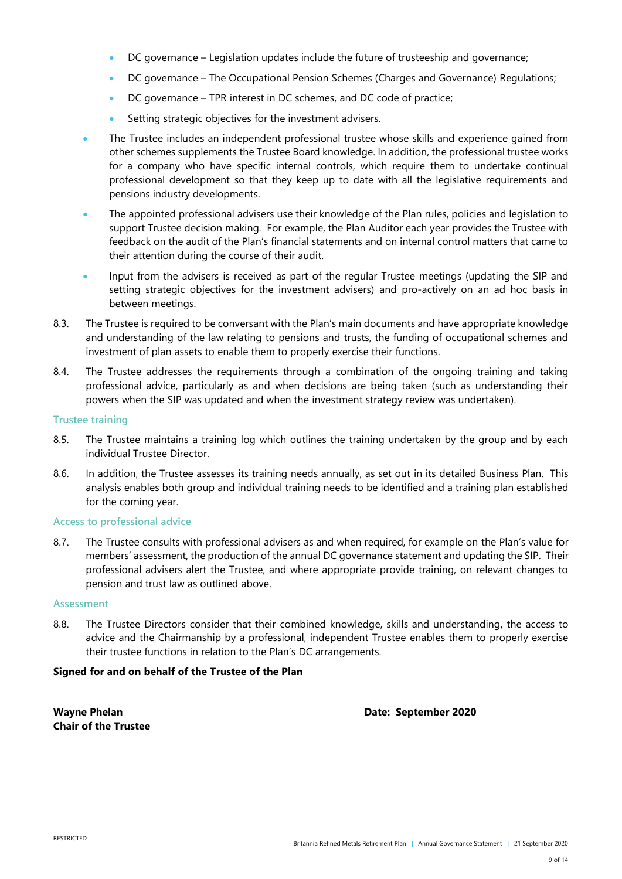- DC governance Legislation updates include the future of trusteeship and governance;
- DC governance The Occupational Pension Schemes (Charges and Governance) Regulations;
- DC governance TPR interest in DC schemes, and DC code of practice;
- Setting strategic objectives for the investment advisers.
- The Trustee includes an independent professional trustee whose skills and experience gained from other schemes supplements the Trustee Board knowledge. In addition, the professional trustee works for a company who have specific internal controls, which require them to undertake continual professional development so that they keep up to date with all the legislative requirements and pensions industry developments.
- The appointed professional advisers use their knowledge of the Plan rules, policies and legislation to support Trustee decision making. For example, the Plan Auditor each year provides the Trustee with feedback on the audit of the Plan's financial statements and on internal control matters that came to their attention during the course of their audit.
- Input from the advisers is received as part of the regular Trustee meetings (updating the SIP and setting strategic objectives for the investment advisers) and pro-actively on an ad hoc basis in between meetings.
- 8.3. The Trustee is required to be conversant with the Plan's main documents and have appropriate knowledge and understanding of the law relating to pensions and trusts, the funding of occupational schemes and investment of plan assets to enable them to properly exercise their functions.
- 8.4. The Trustee addresses the requirements through a combination of the ongoing training and taking professional advice, particularly as and when decisions are being taken (such as understanding their powers when the SIP was updated and when the investment strategy review was undertaken).

#### **Trustee training**

- 8.5. The Trustee maintains a training log which outlines the training undertaken by the group and by each individual Trustee Director.
- 8.6. In addition, the Trustee assesses its training needs annually, as set out in its detailed Business Plan. This analysis enables both group and individual training needs to be identified and a training plan established for the coming year.

## **Access to professional advice**

8.7. The Trustee consults with professional advisers as and when required, for example on the Plan's value for members' assessment, the production of the annual DC governance statement and updating the SIP. Their professional advisers alert the Trustee, and where appropriate provide training, on relevant changes to pension and trust law as outlined above.

#### **Assessment**

8.8. The Trustee Directors consider that their combined knowledge, skills and understanding, the access to advice and the Chairmanship by a professional, independent Trustee enables them to properly exercise their trustee functions in relation to the Plan's DC arrangements.

## **Signed for and on behalf of the Trustee of the Plan**

**Chair of the Trustee**

**Wayne Phelan Date: September 2020**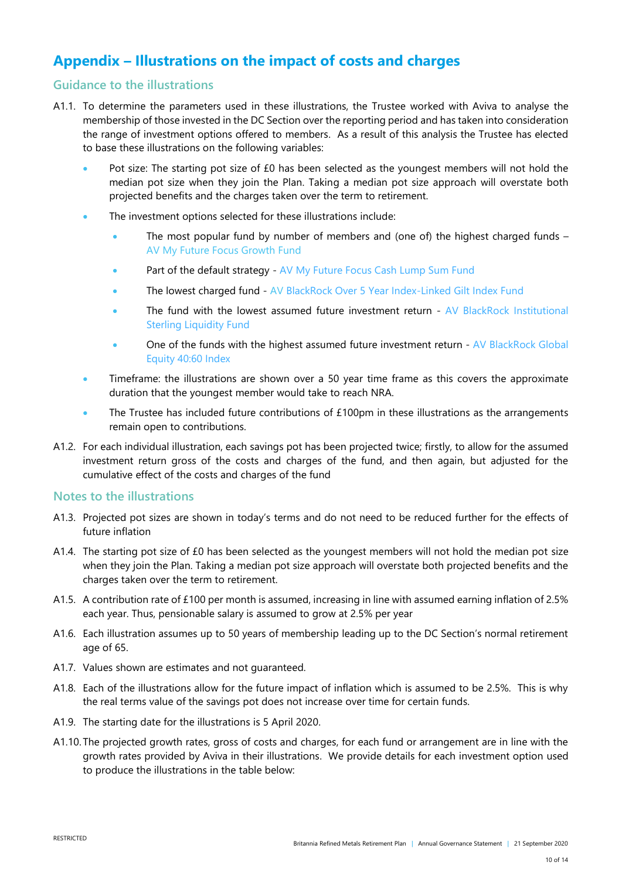# **Appendix – Illustrations on the impact of costs and charges**

# **Guidance to the illustrations**

- A1.1. To determine the parameters used in these illustrations, the Trustee worked with Aviva to analyse the membership of those invested in the DC Section over the reporting period and has taken into consideration the range of investment options offered to members. As a result of this analysis the Trustee has elected to base these illustrations on the following variables:
	- Pot size: The starting pot size of £0 has been selected as the youngest members will not hold the median pot size when they join the Plan. Taking a median pot size approach will overstate both projected benefits and the charges taken over the term to retirement.
	- The investment options selected for these illustrations include:
		- The most popular fund by number of members and (one of) the highest charged funds AV My Future Focus Growth Fund
		- Part of the default strategy AV My Future Focus Cash Lump Sum Fund
		- The lowest charged fund AV BlackRock Over 5 Year Index-Linked Gilt Index Fund
		- The fund with the lowest assumed future investment return AV BlackRock Institutional Sterling Liquidity Fund
		- One of the funds with the highest assumed future investment return AV BlackRock Global Equity 40:60 Index
	- Timeframe: the illustrations are shown over a 50 year time frame as this covers the approximate duration that the youngest member would take to reach NRA.
	- The Trustee has included future contributions of £100pm in these illustrations as the arrangements remain open to contributions.
- A1.2. For each individual illustration, each savings pot has been projected twice; firstly, to allow for the assumed investment return gross of the costs and charges of the fund, and then again, but adjusted for the cumulative effect of the costs and charges of the fund

## **Notes to the illustrations**

- A1.3. Projected pot sizes are shown in today's terms and do not need to be reduced further for the effects of future inflation
- A1.4. The starting pot size of £0 has been selected as the youngest members will not hold the median pot size when they join the Plan. Taking a median pot size approach will overstate both projected benefits and the charges taken over the term to retirement.
- A1.5. A contribution rate of £100 per month is assumed, increasing in line with assumed earning inflation of 2.5% each year. Thus, pensionable salary is assumed to grow at 2.5% per year
- A1.6. Each illustration assumes up to 50 years of membership leading up to the DC Section's normal retirement age of 65.
- A1.7. Values shown are estimates and not guaranteed.
- A1.8. Each of the illustrations allow for the future impact of inflation which is assumed to be 2.5%. This is why the real terms value of the savings pot does not increase over time for certain funds.
- A1.9. The starting date for the illustrations is 5 April 2020.
- A1.10. The projected growth rates, gross of costs and charges, for each fund or arrangement are in line with the growth rates provided by Aviva in their illustrations. We provide details for each investment option used to produce the illustrations in the table below: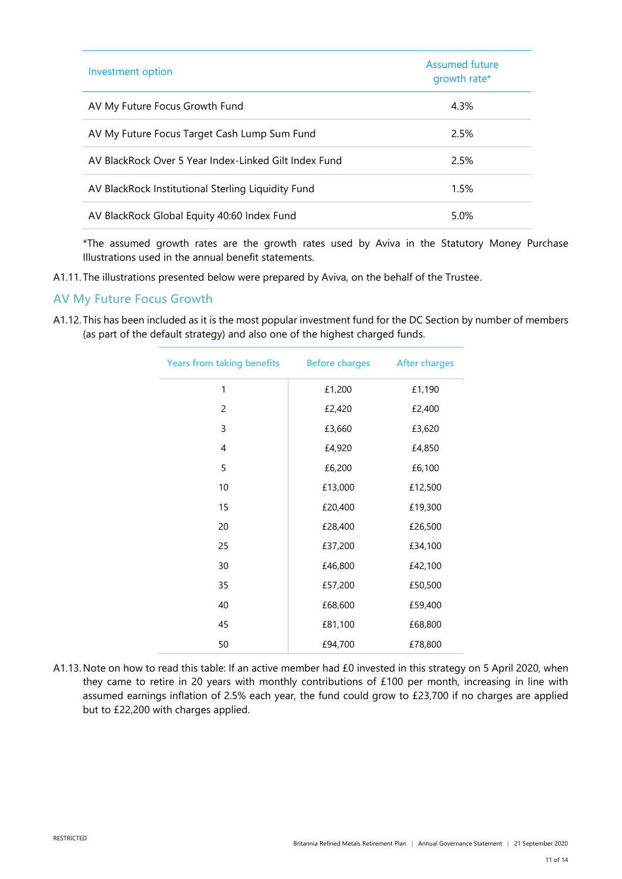| Investment option                                     | Assumed future<br>growth rate* |
|-------------------------------------------------------|--------------------------------|
| AV My Future Focus Growth Fund                        | 4.3%                           |
| AV My Future Focus Target Cash Lump Sum Fund          | 2.5%                           |
| AV BlackRock Over 5 Year Index-Linked Gilt Index Fund | 2.5%                           |
| AV BlackRock Institutional Sterling Liquidity Fund    | 1.5%                           |
| AV BlackRock Global Equity 40:60 Index Fund           | 5.0%                           |

\*The assumed growth rates are the growth rates used by Aviva in the Statutory Money Purchase Illustrations used in the annual benefit statements.

A1.11. The illustrations presented below were prepared by Aviva, on the behalf of the Trustee.

# **AV My Future Focus Growth**

A1.12. This has been included as it is the most popular investment fund for the DC Section by number of members (as part of the default strategy) and also one of the highest charged funds.

| <b>Years from taking benefits</b> | <b>Before charges</b> | <b>After charges</b> |
|-----------------------------------|-----------------------|----------------------|
| 1                                 | £1,200                | £1,190               |
| $\overline{c}$                    | £2,420                | £2,400               |
| 3                                 | £3,660                | £3,620               |
| 4                                 | £4,920                | £4,850               |
| 5                                 | £6,200                | £6,100               |
| 10                                | £13,000               | £12,500              |
| 15                                | £20,400               | £19,300              |
| 20                                | £28,400               | £26,500              |
| 25                                | £37,200               | £34,100              |
| 30                                | £46,800               | £42,100              |
| 35                                | £57,200               | £50,500              |
| 40                                | £68,600               | £59,400              |
| 45                                | £81,100               | £68,800              |
| 50                                | £94,700               | £78,800              |

A1.13.Note on how to read this table: If an active member had £0 invested in this strategy on 5 April 2020, when they came to retire in 20 years with monthly contributions of £100 per month, increasing in line with assumed earnings inflation of 2.5% each year, the fund could grow to £23,700 if no charges are applied but to £22,200 with charges applied.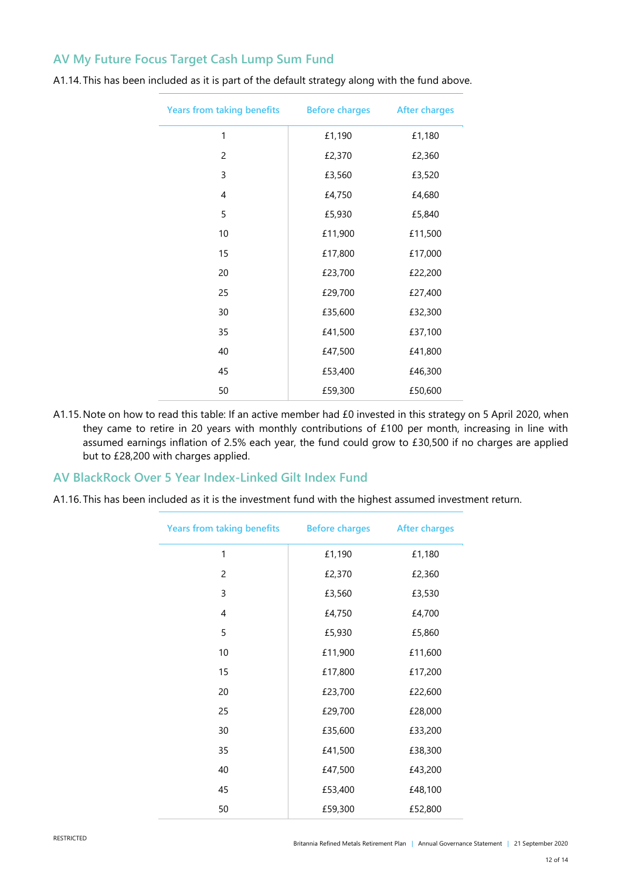# **AV My Future Focus Target Cash Lump Sum Fund**

| <b>Years from taking benefits</b> | <b>Before charges</b> | <b>After charges</b> |
|-----------------------------------|-----------------------|----------------------|
| 1                                 | £1,190                | £1,180               |
| $\overline{c}$                    | £2,370                | £2,360               |
| 3                                 | £3,560                | £3,520               |
| 4                                 | £4,750                | £4,680               |
| 5                                 | £5,930                | £5,840               |
| 10                                | £11,900               | £11,500              |
| 15                                | £17,800               | £17,000              |
| 20                                | £23,700               | £22,200              |
| 25                                | £29,700               | £27,400              |
| 30                                | £35,600               | £32,300              |
| 35                                | £41,500               | £37,100              |
| 40                                | £47,500               | £41,800              |
| 45                                | £53,400               | £46,300              |
| 50                                | £59,300               | £50,600              |

A1.14. This has been included as it is part of the default strategy along with the fund above.

A1.15.Note on how to read this table: If an active member had £0 invested in this strategy on 5 April 2020, when they came to retire in 20 years with monthly contributions of £100 per month, increasing in line with assumed earnings inflation of 2.5% each year, the fund could grow to £30,500 if no charges are applied but to £28,200 with charges applied.

## **AV BlackRock Over 5 Year Index-Linked Gilt Index Fund**

A1.16. This has been included as it is the investment fund with the highest assumed investment return.

| <b>Years from taking benefits</b> | <b>Before charges</b> | <b>After charges</b> |
|-----------------------------------|-----------------------|----------------------|
| 1                                 | £1,190                | £1,180               |
| $\overline{c}$                    | £2,370                | £2,360               |
| 3                                 | £3,560                | £3,530               |
| 4                                 | £4,750                | £4,700               |
| 5                                 | £5,930                | £5,860               |
| 10                                | £11,900               | £11,600              |
| 15                                | £17,800               | £17,200              |
| 20                                | £23,700               | £22,600              |
| 25                                | £29,700               | £28,000              |
| 30                                | £35,600               | £33,200              |
| 35                                | £41,500               | £38,300              |
| 40                                | £47,500               | £43,200              |
| 45                                | £53,400               | £48,100              |
| 50                                | £59,300               | £52,800              |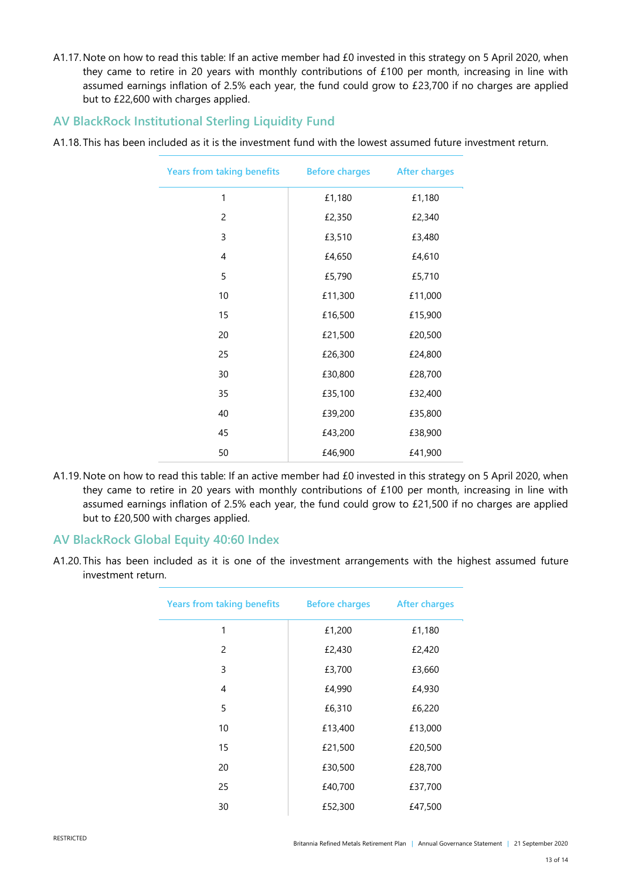A1.17.Note on how to read this table: If an active member had £0 invested in this strategy on 5 April 2020, when they came to retire in 20 years with monthly contributions of £100 per month, increasing in line with assumed earnings inflation of 2.5% each year, the fund could grow to £23,700 if no charges are applied but to £22,600 with charges applied.

# **AV BlackRock Institutional Sterling Liquidity Fund**

A1.18. This has been included as it is the investment fund with the lowest assumed future investment return.

| <b>Years from taking benefits</b> | <b>Before charges</b> | <b>After charges</b> |
|-----------------------------------|-----------------------|----------------------|
| 1                                 | £1,180                | £1,180               |
| 2                                 | £2,350                | £2,340               |
| 3                                 | £3,510                | £3,480               |
| 4                                 | £4,650                | £4,610               |
| 5                                 | £5,790                | £5,710               |
| 10                                | £11,300               | £11,000              |
| 15                                | £16,500               | £15,900              |
| 20                                | £21,500               | £20,500              |
| 25                                | £26,300               | £24,800              |
| 30                                | £30,800               | £28,700              |
| 35                                | £35,100               | £32,400              |
| 40                                | £39,200               | £35,800              |
| 45                                | £43,200               | £38,900              |
| 50                                | £46,900               | £41,900              |

A1.19.Note on how to read this table: If an active member had £0 invested in this strategy on 5 April 2020, when they came to retire in 20 years with monthly contributions of £100 per month, increasing in line with assumed earnings inflation of 2.5% each year, the fund could grow to £21,500 if no charges are applied but to £20,500 with charges applied.

## **AV BlackRock Global Equity 40:60 Index**

A1.20. This has been included as it is one of the investment arrangements with the highest assumed future investment return.

| <b>Years from taking benefits</b> | <b>Before charges</b> | <b>After charges</b> |
|-----------------------------------|-----------------------|----------------------|
| 1                                 | £1,200                | £1,180               |
| 2                                 | £2,430                | £2,420               |
| 3                                 | £3,700                | £3,660               |
| $\overline{4}$                    | £4,990                | £4,930               |
| 5                                 | £6,310                | £6,220               |
| 10                                | £13,400               | £13,000              |
| 15                                | £21,500               | £20,500              |
| 20                                | £30,500               | £28,700              |
| 25                                | £40,700               | £37,700              |
| 30                                | £52,300               | £47,500              |